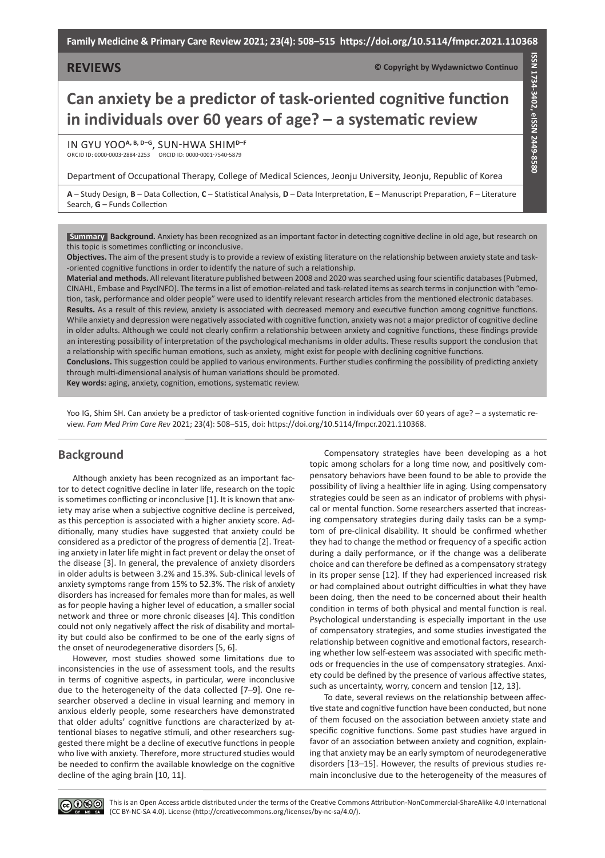## **REVIEWS**

**© Copyright by Wydawnictwo Continuo**

**ISSN 1734-3402, eISSN 2449-8580**

SSN 1734-3402, elSSN 2449-8580

# **Can anxiety be a predictor of task-oriented cognitive function in individuals over 60 years of age? – a systematic review**

In Gyu Yoo**A, B, D–G**, Sun-Hwa Shim**D–F** ORCID ID: 0000-0003-2884-2253 ORCID ID: 0000-0001-7540-5879

Department of Occupational Therapy, College of Medical Sciences, Jeonju University, Jeonju, Republic of Korea

**A** – Study Design, **B** – Data Collection, **C** – Statistical Analysis, **D** – Data Interpretation, **E** – Manuscript Preparation, **F** – Literature Search, **G** – Funds Collection

**Background.** Anxiety has been recognized as an important factor in detecting cognitive decline in old age, but research on **Summary** this topic is sometimes conflicting or inconclusive.

**Objectives.** The aim of the present study is to provide a review of existing literature on the relationship between anxiety state and task- -oriented cognitive functions in order to identify the nature of such a relationship.

**Material and methods.** All relevant literature published between 2008 and 2020 was searched using four scientific databases (Pubmed, CINAHL, Embase and PsycINFO). The terms in a list of emotion-related and task-related items as search terms in conjunction with "emotion, task, performance and older people" were used to identify relevant research articles from the mentioned electronic databases. **Results.** As a result of this review, anxiety is associated with decreased memory and executive function among cognitive functions. While anxiety and depression were negatively associated with cognitive function, anxiety was not a major predictor of cognitive decline in older adults. Although we could not clearly confirm a relationship between anxiety and cognitive functions, these findings provide an interesting possibility of interpretation of the psychological mechanisms in older adults. These results support the conclusion that a relationship with specific human emotions, such as anxiety, might exist for people with declining cognitive functions.

**Conclusions.** This suggestion could be applied to various environments. Further studies confirming the possibility of predicting anxiety through multi-dimensional analysis of human variations should be promoted.

**Key words:** aging, anxiety, cognition, emotions, systematic review.

Yoo IG, Shim SH. Can anxiety be a predictor of task-oriented cognitive function in individuals over 60 years of age? – a systematic review. *Fam Med Prim Care Rev* 2021; 23(4): 508–515, doi: https://doi.org/10.5114/fmpcr.2021.110368.

## **Background**

Although anxiety has been recognized as an important factor to detect cognitive decline in later life, research on the topic is sometimes conflicting or inconclusive [1]. It is known that anxiety may arise when a subjective cognitive decline is perceived, as this perception is associated with a higher anxiety score. Additionally, many studies have suggested that anxiety could be considered as a predictor of the progress of dementia [2]. Treating anxiety in later life might in fact prevent or delay the onset of the disease [3]. In general, the prevalence of anxiety disorders in older adults is between 3.2% and 15.3%. Sub-clinical levels of anxiety symptoms range from 15% to 52.3%. The risk of anxiety disorders has increased for females more than for males, as well as for people having a higher level of education, a smaller social network and three or more chronic diseases [4]. This condition could not only negatively affect the risk of disability and mortality but could also be confirmed to be one of the early signs of the onset of neurodegenerative disorders [5, 6].

However, most studies showed some limitations due to inconsistencies in the use of assessment tools, and the results in terms of cognitive aspects, in particular, were inconclusive due to the heterogeneity of the data collected [7–9]. One researcher observed a decline in visual learning and memory in anxious elderly people, some researchers have demonstrated that older adults' cognitive functions are characterized by attentional biases to negative stimuli, and other researchers suggested there might be a decline of executive functions in people who live with anxiety. Therefore, more structured studies would be needed to confirm the available knowledge on the cognitive decline of the aging brain [10, 11].

Compensatory strategies have been developing as a hot topic among scholars for a long time now, and positively compensatory behaviors have been found to be able to provide the possibility of living a healthier life in aging. Using compensatory strategies could be seen as an indicator of problems with physical or mental function. Some researchers asserted that increasing compensatory strategies during daily tasks can be a symptom of pre-clinical disability. It should be confirmed whether they had to change the method or frequency of a specific action during a daily performance, or if the change was a deliberate choice and can therefore be defined as a compensatory strategy in its proper sense [12]. If they had experienced increased risk or had complained about outright difficulties in what they have been doing, then the need to be concerned about their health condition in terms of both physical and mental function is real. Psychological understanding is especially important in the use of compensatory strategies, and some studies investigated the relationship between cognitive and emotional factors, researching whether low self-esteem was associated with specific methods or frequencies in the use of compensatory strategies. Anxiety could be defined by the presence of various affective states, such as uncertainty, worry, concern and tension [12, 13].

To date, several reviews on the relationship between affective state and cognitive function have been conducted, but none of them focused on the association between anxiety state and specific cognitive functions. Some past studies have argued in favor of an association between anxiety and cognition, explaining that anxiety may be an early symptom of neurodegenerative disorders [13–15]. However, the results of previous studies remain inconclusive due to the heterogeneity of the measures of

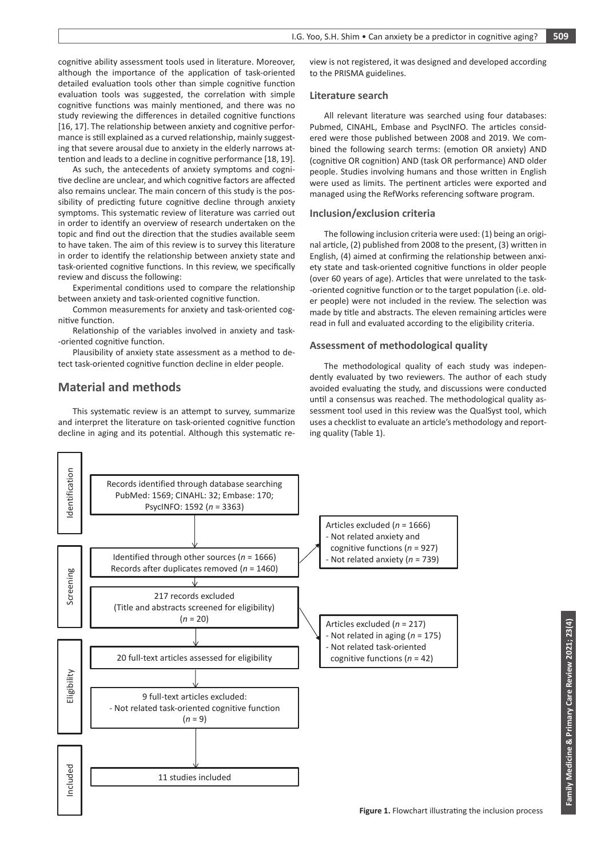cognitive ability assessment tools used in literature. Moreover, although the importance of the application of task-oriented detailed evaluation tools other than simple cognitive function evaluation tools was suggested, the correlation with simple cognitive functions was mainly mentioned, and there was no study reviewing the differences in detailed cognitive functions [16, 17]. The relationship between anxiety and cognitive performance is still explained as a curved relationship, mainly suggesting that severe arousal due to anxiety in the elderly narrows attention and leads to a decline in cognitive performance [18, 19].

As such, the antecedents of anxiety symptoms and cognitive decline are unclear, and which cognitive factors are affected also remains unclear. The main concern of this study is the possibility of predicting future cognitive decline through anxiety symptoms. This systematic review of literature was carried out in order to identify an overview of research undertaken on the topic and find out the direction that the studies available seem to have taken. The aim of this review is to survey this literature in order to identify the relationship between anxiety state and task-oriented cognitive functions. In this review, we specifically review and discuss the following:

Experimental conditions used to compare the relationship between anxiety and task-oriented cognitive function.

Common measurements for anxiety and task-oriented cognitive function.

Relationship of the variables involved in anxiety and task- -oriented cognitive function.

Plausibility of anxiety state assessment as a method to detect task-oriented cognitive function decline in elder people.

# **Material and methods**

This systematic review is an attempt to survey, summarize and interpret the literature on task-oriented cognitive function decline in aging and its potential. Although this systematic re-

view is not registered, it was designed and developed according to the PRISMA guidelines.

#### **Literature search**

All relevant literature was searched using four databases: Pubmed, CINAHL, Embase and PsycINFO. The articles considered were those published between 2008 and 2019. We combined the following search terms: (emotion OR anxiety) AND (cognitive OR cognition) AND (task OR performance) AND older people. Studies involving humans and those written in English were used as limits. The pertinent articles were exported and managed using the RefWorks referencing software program.

#### **Inclusion/exclusion criteria**

The following inclusion criteria were used: (1) being an original article, (2) published from 2008 to the present, (3) written in English, (4) aimed at confirming the relationship between anxiety state and task-oriented cognitive functions in older people (over 60 years of age). Articles that were unrelated to the task- -oriented cognitive function or to the target population (i.e. older people) were not included in the review. The selection was made by title and abstracts. The eleven remaining articles were read in full and evaluated according to the eligibility criteria.

### **Assessment of methodological quality**

The methodological quality of each study was independently evaluated by two reviewers. The author of each study avoided evaluating the study, and discussions were conducted until a consensus was reached. The methodological quality assessment tool used in this review was the QualSyst tool, which uses a checklist to evaluate an article's methodology and reporting quality (Table 1).

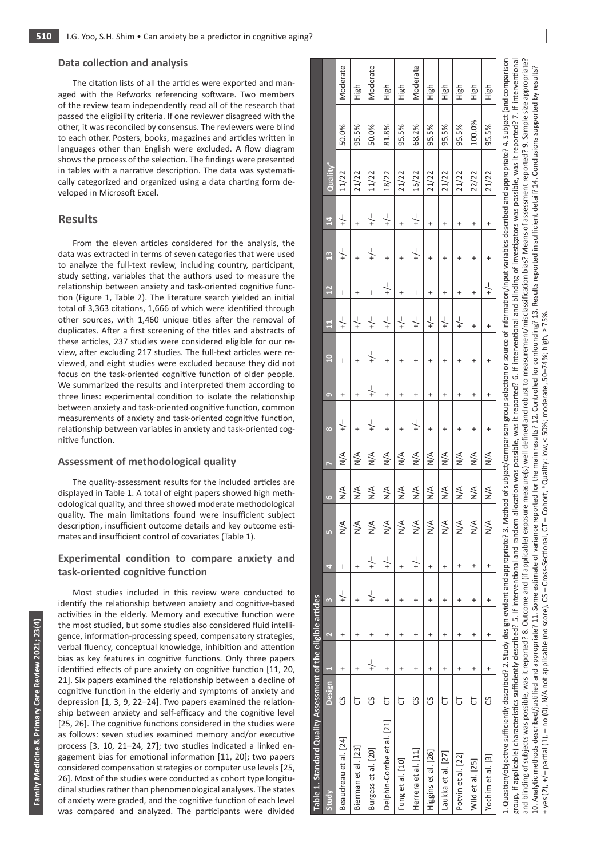#### **Data collection and analysis**

The citation lists of all the articles were exported and managed with the Refworks referencing software. Two members of the review team independently read all of the research that passed the eligibility criteria. If one reviewer disagreed with the other, it was reconciled by consensus. The reviewers were blind to each other. Posters, books, magazines and articles written in languages other than English were excluded. A flow diagram shows the process of the selection. The findings were presented in tables with a narrative description. The data was systematically categorized and organized using a data charting form developed in Microsoft Excel.

# **Results**

From the eleven articles considered for the analysis, the data was extracted in terms of seven categories that were used to analyze the full-text review, including country, participant, study setting, variables that the authors used to measure the relationship between anxiety and task-oriented cognitive function (Figure 1, Table 2). The literature search yielded an initial total of 3,363 citations, 1,666 of which were identified through other sources, with 1,460 unique titles after the removal of duplicates. After a first screening of the titles and abstracts of these articles, 237 studies were considered eligible for our review, after excluding 217 studies. The full-text articles were reviewed, and eight studies were excluded because they did not focus on the task-oriented cognitive function of older people. We summarized the results and interpreted them according to three lines: experimental condition to isolate the relationship between anxiety and task-oriented cognitive function, common measurements of anxiety and task-oriented cognitive function, relationship between variables in anxiety and task-oriented cognitive function.

### **Assessment of methodological quality**

The quality-assessment results for the included articles are displayed in Table 1. A total of eight papers showed high methodological quality, and three showed moderate methodological quality. The main limitations found were insufficient subject description, insufficient outcome details and key outcome estimates and insufficient control of covariates (Table 1).

## **Experimental condition to compare anxiety and task-oriented cognitive function**

Most studies included in this review were conducted to identify the relationship between anxiety and cognitive-based activities in the elderly. Memory and executive function were the most studied, but some studies also considered fluid intelligence, information-processing speed, compensatory strategies, verbal fluency, conceptual knowledge, inhibition and attention bias as key features in cognitive functions. Only three papers identified effects of pure anxiety on cognitive function [11, 20, 21]. Six papers examined the relationship between a decline of cognitive function in the elderly and symptoms of anxiety and depression [1, 3, 9, 22–24]. Two papers examined the relationship between anxiety and self-efficacy and the cognitive level [25, 26]. The cognitive functions considered in the studies were as follows: seven studies examined memory and/or executive process [3, 10, 21–24, 27]; two studies indicated a linked engagement bias for emotional information [11, 20]; two papers considered compensation strategies or computer use levels [25, 26]. Most of the studies were conducted as cohort type longitudinal studies rather than phenomenological analyses. The states of anxiety were graded, and the cognitive function of each level was compared and analyzed. The participants were divided

| Table 1. Standard Quality Assessment of the eligible articles                                                                                                                                                                  |          |                |                |                |                |               |               |               |               |               |                |                |                 |               |                 |                      |        |          |
|--------------------------------------------------------------------------------------------------------------------------------------------------------------------------------------------------------------------------------|----------|----------------|----------------|----------------|----------------|---------------|---------------|---------------|---------------|---------------|----------------|----------------|-----------------|---------------|-----------------|----------------------|--------|----------|
| Study                                                                                                                                                                                                                          | Design 1 |                | $\overline{N}$ | m              | ÷,             | LŊ            | G             | F             | $\infty$      | $\bullet$     | $\overline{a}$ | $\mathbf{H}$   | $\overline{12}$ | 13            | $\overline{14}$ | Quality <sup>a</sup> |        |          |
| Beaudreau et al. [24]                                                                                                                                                                                                          | უ        | $\ddot{}$      | +              | $\frac{1}{+}$  | I              | $\frac{4}{2}$ | $\frac{4}{2}$ | $\frac{4}{2}$ | $\frac{1}{+}$ | +             | I              | $\frac{1}{+}$  | I               | $\downarrow$  | $\frac{1}{+}$   | 11/22                | 50.0%  | Moderate |
| Bierman et al. [23]                                                                                                                                                                                                            | p        | $\ddot{}$      | +              | $\ddot{}$      | $\ddot{}$      | $\frac{8}{2}$ | $\frac{4}{2}$ | $\frac{4}{2}$ | $\ddot{}$     |               | +              | $\frac{1}{+}$  | $\ddot{}$       | $\ddot{}$     |                 | 21/22                | 95.5%  | High     |
| Burgess et al. [20]                                                                                                                                                                                                            | უ        | $-\frac{1}{2}$ | +              | $-\frac{1}{2}$ | $\frac{1}{+}$  | $\frac{4}{2}$ | $\frac{4}{2}$ | $\frac{4}{2}$ | $\frac{1}{+}$ | $\frac{1}{+}$ | $\frac{1}{+}$  | $\frac{1}{+}$  | I               | $-\bigg\} +$  | $-\bigg\} +$    | 11/22                | 50.0%  | Moderate |
| Delphin-Combe et al. [21]                                                                                                                                                                                                      | p        | $\ddot{}$      | +              | $\ddot{}$      | $+\frac{1}{x}$ | $\frac{4}{2}$ | $\frac{4}{2}$ | $\frac{4}{2}$ | $^{+}$        | +             | +              | $-\frac{1}{2}$ | $-\frac{1}{2}$  | $\ddot{}$     | $-\bigg\}$      | 18/22                | 81.8%  | High     |
| Fung et al. [10]                                                                                                                                                                                                               | đ        | $\ddot{}$      | $\ddot{}$      | $\ddot{}$      | $\ddot{}$      | $\frac{4}{2}$ | $\frac{4}{2}$ | $\frac{4}{2}$ | $\ddot{}$     | $\ddot{}$     | $\ddot{}$      | $\frac{1}{+}$  | $\ddot{}$       | $\ddot{}$     | $\ddot{}$       | 21/22                | 95.5%  | High     |
| Herrera et al. [11]                                                                                                                                                                                                            | უ        | $\ddot{}$      | +              | $^{+}$         | $\frac{1}{+}$  | $\frac{4}{2}$ | $\frac{4}{2}$ | $\frac{4}{2}$ | $\frac{1}{+}$ | +             | +              | $\frac{1}{+}$  | I               | $\frac{1}{+}$ | $\frac{1}{+}$   | 15/22                | 68.2%  | Moderate |
| Higgins et al. [26]                                                                                                                                                                                                            | უ        | $\ddot{}$      | $\ddot{}$      | $\ddot{}$      | $\ddot{}$      | $\frac{4}{2}$ | $\frac{4}{2}$ | $\frac{4}{2}$ | $\ddot{}$     | $\ddot{}$     | +              | $\frac{1}{+}$  | $\ddot{}$       | $\ddot{}$     | $\ddot{}$       | 21/22                | 95.5%  | High     |
| Laukka et al. [27]                                                                                                                                                                                                             | 5        | $\pmb{+}$      | +              | $\ddot{}$      | $\ddot{}$      | $\frac{4}{2}$ | $\frac{4}{2}$ | $\frac{4}{2}$ | $\ddot{}$     | $\ddot{}$     | +              | $\frac{1}{+}$  | $\ddot{}$       | $\ddot{}$     | $\ddot{}$       | 21/22                | 95.5%  | High     |
| Potvin et al. [22]                                                                                                                                                                                                             | p        | $\ddot{}$      | $\ddot{}$      | $^{+}$         | $\ddot{}$      | $\frac{8}{2}$ | $\frac{4}{2}$ | $\frac{4}{2}$ | $\ddot{}$     | $\ddot{}$     | +              | $\frac{1}{+}$  | $^{+}$          | $\ddot{}$     | $\ddot{}$       | 21/22                | 95.5%  | High     |
| Wild et al. [25]                                                                                                                                                                                                               | 5        | $\ddot{}$      | +              | $\ddot{}$      | $\ddot{}$      | $\frac{4}{2}$ | $\frac{4}{2}$ | $\frac{4}{2}$ | $\ddot{}$     | +             | +              | $\ddot{}$      | $\ddot{}$       | $^{+}$        | +               | 22/22                | 100.0% | High     |
| Yochim et al. [3]                                                                                                                                                                                                              | უ        | $\ddot{}$      | $\ddot{}$      | $\ddot{}$      | $\ddot{}$      | $\frac{8}{2}$ | $\frac{4}{2}$ | $\frac{4}{2}$ | $\pmb{+}$     | $\ddot{}$     | +              | +              | $-\frac{1}{2}$  | $\ddot{}$     | +               | 21/22                | 95.5%  | High     |
| 1. Question/objective sufficiently described? 2. Study design evident and appropriate? 3. Method of subject/comparison group selection or source of information/input variables described and appropriate? 4. Subject (and com |          |                |                |                |                |               |               |               |               |               |                |                |                 |               |                 |                      |        |          |

group, if applicable) characteristics sufficiently described? 5. If interventional and random allocation was possible, was it reported? 6. If interventional and blinding of investigators was possible, was it reported? 7. I group, if applicable) characteristics sufficiently described? 5. If interventional and random allocation was possible, was it reported? 6. If interventional and blinding of investigators was possible, was it reported? 7. I Means of assessment reported? 9. Sample size appropriate? and blinding of subjects was possible, was it reported? 8. Outcome and (if applicable) exposure measure(s) well defined and robust to measurement/misclassification bias? Means of assessment reported? 9. Sample size appropr 10. Analytic methods described/justified and appropriate? 11. Some estimate of variance reported for the main results? 12. Controlled for confounding? 13. Results reported in sufficient detail? 14. Conclusions supported by 10. Analytic methods described/justified and appropriate? 11. Some estimate of variance reported for the main results? 12. Controlled for confounding? 13. Results reported in sufficient detail? 14. Conclusions supported by and blinding of subjects was possible, was it reported? 8. Outcome and (if applicable) exposure measure(s) well defined and robust to measurement/misclassification bias? + yes (2), +/– partial (1), – no (0), N/A not applicable (no score), CS – Cross-Sectional, CT – Cohort, a Quality: low, < 50%; moderate, 50–74%; high, ≥ 75%.CT - Cohort, a Quality: low, < 50%; moderate, 50-74%; high, ≥ 75% N/A not applicable (no score), CS - Cross-Sectional,  $(2), +/-$  partial  $(1), -$  no  $(0),$ + yes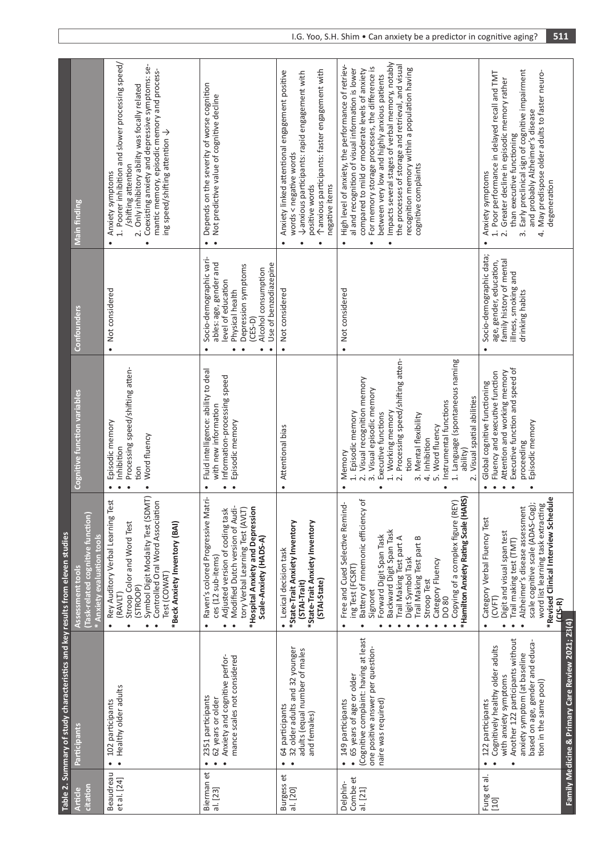| 102 participants<br>Participants<br>$\bullet$<br>Beaudreau<br>et al. [24]<br><u>citation</u><br><b>Article</b> |                                                                                                                                                                                                                                                 | Table 2. Summary of study characteristics and key results from eleven studies                                                                                                                                                                                                                                                                                                       |                                                                                                                                                                                                                                                                                                                                                                                                                  |                                                                                                                                                                                                                                    |                                                                                                                                                                                                                                                                                                                                                                                                                                                                                        |
|----------------------------------------------------------------------------------------------------------------|-------------------------------------------------------------------------------------------------------------------------------------------------------------------------------------------------------------------------------------------------|-------------------------------------------------------------------------------------------------------------------------------------------------------------------------------------------------------------------------------------------------------------------------------------------------------------------------------------------------------------------------------------|------------------------------------------------------------------------------------------------------------------------------------------------------------------------------------------------------------------------------------------------------------------------------------------------------------------------------------------------------------------------------------------------------------------|------------------------------------------------------------------------------------------------------------------------------------------------------------------------------------------------------------------------------------|----------------------------------------------------------------------------------------------------------------------------------------------------------------------------------------------------------------------------------------------------------------------------------------------------------------------------------------------------------------------------------------------------------------------------------------------------------------------------------------|
|                                                                                                                |                                                                                                                                                                                                                                                 | Task-related cognitive function<br>Anxiety evaluation tools<br>Assessment tools                                                                                                                                                                                                                                                                                                     | <b>Cognitive function variables</b>                                                                                                                                                                                                                                                                                                                                                                              | Confounders                                                                                                                                                                                                                        | <b>Main finding</b>                                                                                                                                                                                                                                                                                                                                                                                                                                                                    |
|                                                                                                                | Healthy older adults                                                                                                                                                                                                                            | Symbol Digit Modality Test (SDMT)<br>Test<br>Controlled Oral Word Association<br>Rey Auditory Verbal Learning<br>Stroop Color and Word Test<br>*Beck Anxiety Inventory (BAI)<br>Test (COWAT)<br>(STROOP)<br>(RAVLT)<br>$\bullet$<br>$\bullet$                                                                                                                                       | Processing speed/shifting atten-<br>Episodic memory<br>Word fluency<br>Inhibition<br>tion<br>$\bullet$<br>$\bullet$                                                                                                                                                                                                                                                                                              | Not considered<br>$\bullet$                                                                                                                                                                                                        | 1. Poorer inhibition and slower processing speed/<br>Coexisting anxiety and depressive symptoms: se-<br>mantic memory, episodic memory and process-<br>2. Only inhibitory ability was focally related<br>ing speed/shifting attention $\downarrow$<br>/shifting attention<br>Anxiety symptoms<br>$\bullet$<br>$\bullet$                                                                                                                                                                |
| 2351 participants<br>62 years or older<br>Bierman et<br>al. [23]                                               | Anxiety and cognitive perfor-<br>mance scales not considered                                                                                                                                                                                    | Raven's colored Progressive Matri-<br>Adjusted version of coding task<br>Modified Dutch version of Audi-<br>*Hospital Anxiety and Depression<br>tory Verbal Learning Test (AVLT)<br>Scale-Anxiety (HADS-A)<br>ces (12 sub-items)<br>$\bullet$<br>$\bullet$                                                                                                                          | Fluid intelligence: ability to deal<br>Information-processing speed<br>with new information<br>Episodic memory<br>$\bullet$<br>$\bullet$                                                                                                                                                                                                                                                                         | Socio-demographic vari-<br>ables: age, gender and<br>Use of benzodiazepine<br>Depression symptoms<br>Alcohol consumption<br>level of education<br>Physical health<br>$(CES-D)$<br>$\bullet$<br>$\bullet$<br>$\bullet$<br>$\bullet$ | Depends on the severity of worse cognition<br>Not predictive value of cognitive decline<br>$\bullet$<br>$\bullet$                                                                                                                                                                                                                                                                                                                                                                      |
| 64 participants<br>and females)<br>$\bullet$<br>$\bullet$<br>Burgess et<br>al. [20]                            | 32 older adults and 32 younger<br>adults (equal number of males                                                                                                                                                                                 | *State-Trait Anxiety Inventory<br>*State-Trait Anxiety Inventory<br>• Lexical decision task<br>(STAI-State)<br>(STAI-Trait)                                                                                                                                                                                                                                                         | Attentional bias<br>$\bullet$                                                                                                                                                                                                                                                                                                                                                                                    | Not considered<br>$\bullet$                                                                                                                                                                                                        | Tanxious participants: faster engagement with<br>Anxiety linked attentional engagement positive<br>Vanxious participants: rapid engagement with<br>words < negative words<br>positive words<br>negative items<br>$\bullet$<br>$\bullet$                                                                                                                                                                                                                                                |
| naire was required)<br>149 participants<br>$\bullet$<br>Combe et<br>Delphin-<br>al. [21]                       | (Cognitive complaint: having at least<br>one positive answer per question-<br>65 years of age or older                                                                                                                                          | *Hamilton Anxiety Rating Scale (HARS)<br>Battery of mnemonic efficiency of<br>REY)<br>Free and Cued Selective Remind-<br>Copying of a complex figure (<br>Backward Digit Span Task<br>Forward Digit Span Task<br>Trail Making Test part A<br>Trail Making Test part B<br>Digit Symbol Task<br>Category Fluency<br>ing Test (FCSRT)<br>Stroop Test<br>Signoret<br>DO 80<br>$\bullet$ | Processing speed/shifting atten-<br>1. Language (spontaneous naming<br>2. Visual recognition memory<br>3. Visual episodic memory<br>2. Visual spatial abilities<br>Instrumental functions<br>1. Episodic memory<br>1. Working memory<br>Executive functions<br>3. Mental flexibility<br>Word fluency<br>Inhibition<br>ability)<br>Memory<br>tion<br>$\vec{r}$<br>ம்<br>$\overline{\mathsf{N}}$<br>$\bullet$<br>٠ | Not considered<br>$\bullet$                                                                                                                                                                                                        | Impacts several stages of verbal memory, notably<br>the processes of storage and retrieval, and visual<br>High level of anxiety, the performance of retriev-<br>For memory storage processes, the difference is<br>al and recognition of visual information is lower<br>recognition memory within a population having<br>compared to mild or moderate levels of anxiety<br>between very low and highly anxious patients<br>cognitive complaints<br>$\bullet$<br>$\bullet$<br>$\bullet$ |
| 122 participants<br>$\bullet$<br>Fung et al.<br>[10]                                                           | Family Medicine & Primary Care Review 2021; 23(4)<br>Another 122 participants without<br>based on age, gender and educa-<br>Cognitively healthy older adults<br>anxiety symptom (at baseline<br>with anxiety symptoms<br>tion in the same pool) | *Revised Clinical Interview Schedule<br>scale cognitive scale (ADAS-Cog);<br>word list learning task extracting<br>Alzheimer's disease assessment<br>Category Verbal Fluency Test<br>Digit and visual span test<br>Trail making test (TMT)<br>(CVFT)<br>$(2S-R)$<br>$\bullet$<br>$\bullet$<br>$\bullet$                                                                             | Executive function and speed of<br>Attention and working memory<br>Fluency and executive function<br>Global cognitive functioning<br>Episodic memory<br>proceeding<br>$\bullet$<br>٠<br>٠                                                                                                                                                                                                                        | Socio-demographic data;<br>family history of mental<br>age, gender, education,<br>illness, smoking and<br>drinking habits<br>$\bullet$                                                                                             | Early preclinical sign of cognitive impairment<br>May predispose older adults to faster neuro-<br>1. Poor performance in delayed recall and TMT<br>Greater decline in episodic memory rather<br>and probably Alzheimer's disease<br>than executive functioning<br>Anxiety symptoms<br>degeneration<br>4<br>$\overline{\mathcal{N}}$<br>ന്<br>$\bullet$                                                                                                                                 |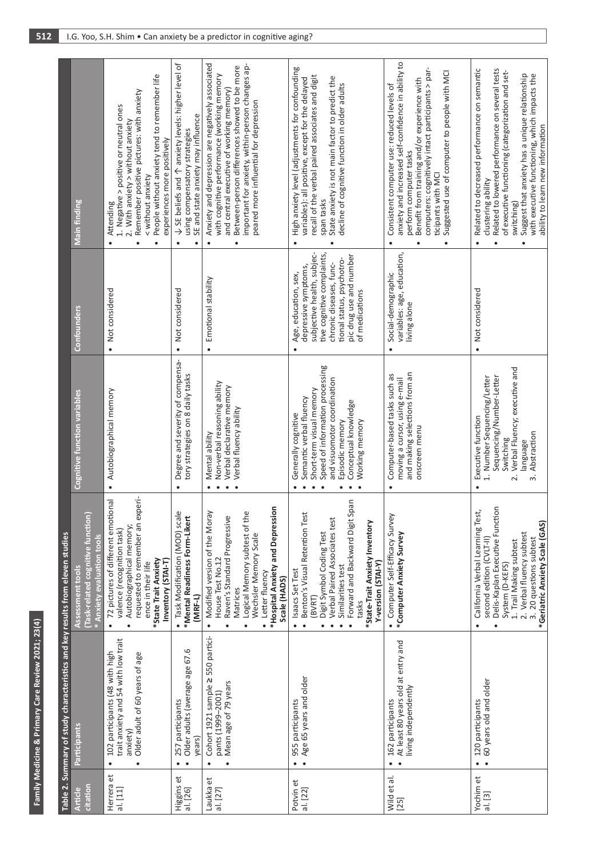|                                                                               | Main finding                                                                       | People without anxiety tend to remember life<br>Remember positive pictures: with anxiety<br>1. Negative > positive or neutral ones<br>2. With anxiety > without anxiety<br>experiences more positively<br>< without anxiety<br>Attending | $\downarrow$ SE beliefs and $\uparrow$ anxiety levels: higher level of<br>SE and state anxiety may influence<br>using compensatory strategies | Anxiety and depression are negatively associated<br>important for anxiety, within-person changes ap-<br>Between-person differences showed to be more<br>with cognitive performance (working memory<br>and central executive of working memory)<br>peared more influential for depression | High anxiety level (adjustments for confounding<br>recall of the verbal paired associates and digit<br>State anxiety is not main factor to predict the<br>variables): all positive, except for the delayed<br>decline of cognitive function in older adults<br>span tasks<br>$\bullet$                    | anxiety and increased self-confidence in ability to<br>computers: cognitively intact participants > par-<br>Suggested use of computer to people with MCI<br>Benefit from training and/or experience with<br>Consistent computer use: reduced levels of<br>perform computer tasks<br>ticipants with MCI | Related to decreased performance on semantic<br>Related to lowered performance on several tests<br>of executive functioning (categorization and set-<br>Suggest that anxiety has a unique relationship<br>clustering ability<br>switching)<br>$\bullet$ |
|-------------------------------------------------------------------------------|------------------------------------------------------------------------------------|------------------------------------------------------------------------------------------------------------------------------------------------------------------------------------------------------------------------------------------|-----------------------------------------------------------------------------------------------------------------------------------------------|------------------------------------------------------------------------------------------------------------------------------------------------------------------------------------------------------------------------------------------------------------------------------------------|-----------------------------------------------------------------------------------------------------------------------------------------------------------------------------------------------------------------------------------------------------------------------------------------------------------|--------------------------------------------------------------------------------------------------------------------------------------------------------------------------------------------------------------------------------------------------------------------------------------------------------|---------------------------------------------------------------------------------------------------------------------------------------------------------------------------------------------------------------------------------------------------------|
|                                                                               | Confounders                                                                        | Not considered<br>$\bullet$                                                                                                                                                                                                              | Not considered<br>$\bullet$                                                                                                                   | Emotional stability<br>$\bullet$                                                                                                                                                                                                                                                         | tive cognitive complaints,<br>subjective health, subjec-<br>pic drug use and number<br>tional status, psychotro-<br>chronic diseases, func-<br>depressive symptoms,<br>Age, education, sex,<br>of medications                                                                                             | variables: age, education,<br>Social-demographic<br>living alone<br>$\bullet$                                                                                                                                                                                                                          | Not considered<br>$\bullet$                                                                                                                                                                                                                             |
|                                                                               | <b>Cognitive function variables</b>                                                | Autobiographical memory<br>$\bullet$                                                                                                                                                                                                     | Degree and severity of compensa-<br>tory strategies on 8 daily tasks<br>$\bullet$                                                             | Non-verbal reasoning ability<br>Verbal declarative memory<br>Verbal fluency ability<br>Mental ability<br>$\bullet$                                                                                                                                                                       | Speed of information processing<br>and visuomotor coordination<br>Short-term visual memory<br>Semantic verbal fluency<br>Conceptual knowledge<br>Generally cognitive<br>Episodic memory<br>Working memory<br>$\bullet$<br>$\bullet$<br>$\bullet$<br>$\bullet$                                             | and making selections from an<br>Computer-based tasks such as<br>moving a cursor, using e-mail<br>onscreen menu<br>$\bullet$                                                                                                                                                                           | Verbal Fluency; executive and<br>1. Number Sequencing/Letter<br>Sequencing/Number-Letter<br>Executive function<br>Switching<br>language<br>$\overline{\mathsf{c}}$<br>$\bullet$                                                                         |
|                                                                               | Task-related cognitive function)<br>* Anxiety evaluation tools<br>Assessment tools | requested to remember an experi-<br>72 pictures of different emotional<br>Autobiographical memory;<br>valence (recognition task)<br>*State Trait Anxiety<br>Inventory (STAI-T)<br>ence in their life<br>$\bullet$                        | Task Modification (MOD) scale<br>*Mental Readiness Form-Likert<br>$(MRF-L)$<br>$\bullet$                                                      | *Hospital Anxiety and Depression<br>Modified version of the Moray<br>Logical Memory subtest of the<br>Raven's Standard Progressive<br>Wechsler Memory Scale<br>House Test No.12<br>· Letter fluency<br>Scale (HADS)<br>Matrices<br>$\bullet$<br>$\bullet$                                | ued<br>Benton's Visual Retention Test<br>Forward and Backward Digit S<br>Verbal Paired Associates test<br>*State-Trait Anxiety Inventory<br>Digit Symbol Coding Test<br>Y-version (STAI-Y)<br>Similarities test<br>Isaacs Set Test<br>(BVRT)<br>tasks<br>$\bullet$<br>$\bullet$<br>$\bullet$<br>$\bullet$ | Computer Self-Efficacy Survey<br>*Computer Anxiety Survey<br>$\bullet$                                                                                                                                                                                                                                 | Delis-Kaplan Executive Function<br>California Verbal Learning Test,<br>2. Verbal fluency subtest<br>3. 20 questions subtest<br>second edition (CVLT-II)<br>1. Trail Making subtest<br>System (D-KEFS)<br>$\bullet$<br>$\bullet$                         |
| Table 2. Summary of study characteristics and key results from eleven studies | Participants                                                                       | trait anxiety and 54 with low trait<br>102 participants (48 with high<br>Older adult of 60 years of age<br>anxiety<br>$\bullet$                                                                                                          | Older adults (average age 67.6<br>257 participants<br>years)<br>$\bullet$                                                                     | 550 partici-<br>Cohort 1921 sample 2<br>Mean age of 79 years<br>pants (1999-2001)<br>$\bullet$<br>$\bullet$                                                                                                                                                                              | Age 65 years and older<br>955 participants<br>$\bullet$                                                                                                                                                                                                                                                   | At least 80 years old at entry and<br>living independently<br>162 participants<br>$\bullet$                                                                                                                                                                                                            | 60 years old and older<br>120 participants<br>$\bullet$                                                                                                                                                                                                 |
|                                                                               | citation<br><b>Article</b>                                                         | Herrera et<br>al. [11]                                                                                                                                                                                                                   | Higgins et<br>al. [26]                                                                                                                        | Laukka et<br>al. [27]                                                                                                                                                                                                                                                                    | Potvin et<br>al. [22]                                                                                                                                                                                                                                                                                     | Wild et al.<br>$[25]$                                                                                                                                                                                                                                                                                  | Yochim et<br>al. [3]                                                                                                                                                                                                                                    |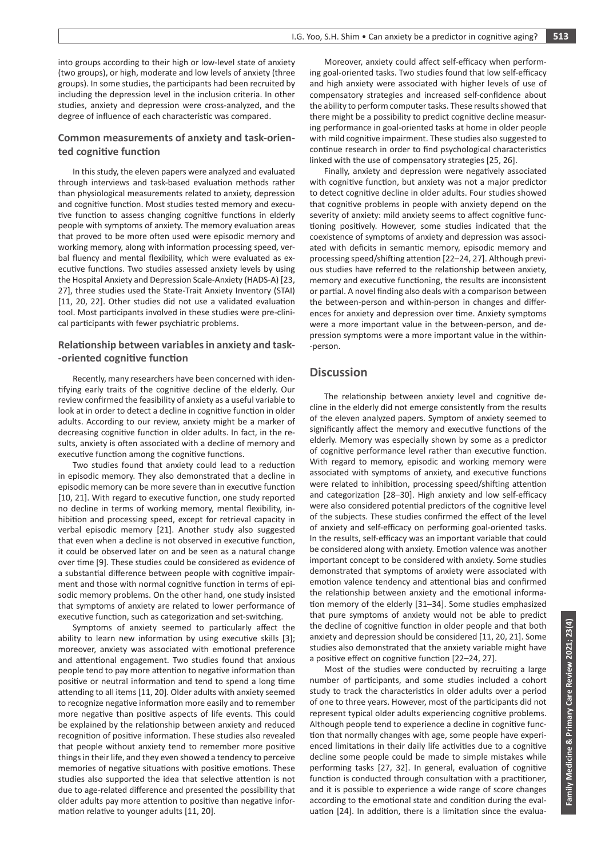into groups according to their high or low-level state of anxiety (two groups), or high, moderate and low levels of anxiety (three groups). In some studies, the participants had been recruited by including the depression level in the inclusion criteria. In other studies, anxiety and depression were cross-analyzed, and the degree of influence of each characteristic was compared.

## **Common measurements of anxiety and task-oriented cognitive function**

In this study, the eleven papers were analyzed and evaluated through interviews and task-based evaluation methods rather than physiological measurements related to anxiety, depression and cognitive function. Most studies tested memory and executive function to assess changing cognitive functions in elderly people with symptoms of anxiety. The memory evaluation areas that proved to be more often used were episodic memory and working memory, along with information processing speed, verbal fluency and mental flexibility, which were evaluated as executive functions. Two studies assessed anxiety levels by using the Hospital Anxiety and Depression Scale-Anxiety (HADS-A) [23, 27], three studies used the State-Trait Anxiety Inventory (STAI) [11, 20, 22]. Other studies did not use a validated evaluation tool. Most participants involved in these studies were pre-clinical participants with fewer psychiatric problems.

## **Relationship between variables in anxiety and task- -oriented cognitive function**

Recently, many researchers have been concerned with identifying early traits of the cognitive decline of the elderly. Our review confirmed the feasibility of anxiety as a useful variable to look at in order to detect a decline in cognitive function in older adults. According to our review, anxiety might be a marker of decreasing cognitive function in older adults. In fact, in the results, anxiety is often associated with a decline of memory and executive function among the cognitive functions.

Two studies found that anxiety could lead to a reduction in episodic memory. They also demonstrated that a decline in episodic memory can be more severe than in executive function [10, 21]. With regard to executive function, one study reported no decline in terms of working memory, mental flexibility, inhibition and processing speed, except for retrieval capacity in verbal episodic memory [21]. Another study also suggested that even when a decline is not observed in executive function, it could be observed later on and be seen as a natural change over time [9]. These studies could be considered as evidence of a substantial difference between people with cognitive impairment and those with normal cognitive function in terms of episodic memory problems. On the other hand, one study insisted that symptoms of anxiety are related to lower performance of executive function, such as categorization and set-switching.

Symptoms of anxiety seemed to particularly affect the ability to learn new information by using executive skills [3]; moreover, anxiety was associated with emotional preference and attentional engagement. Two studies found that anxious people tend to pay more attention to negative information than positive or neutral information and tend to spend a long time attending to all items [11, 20]. Older adults with anxiety seemed to recognize negative information more easily and to remember more negative than positive aspects of life events. This could be explained by the relationship between anxiety and reduced recognition of positive information. These studies also revealed that people without anxiety tend to remember more positive things in their life, and they even showed a tendency to perceive memories of negative situations with positive emotions. These studies also supported the idea that selective attention is not due to age-related difference and presented the possibility that older adults pay more attention to positive than negative information relative to younger adults [11, 20].

Moreover, anxiety could affect self-efficacy when performing goal-oriented tasks. Two studies found that low self-efficacy and high anxiety were associated with higher levels of use of compensatory strategies and increased self-confidence about the ability to perform computer tasks. These results showed that there might be a possibility to predict cognitive decline measuring performance in goal-oriented tasks at home in older people with mild cognitive impairment. These studies also suggested to continue research in order to find psychological characteristics linked with the use of compensatory strategies [25, 26].

Finally, anxiety and depression were negatively associated with cognitive function, but anxiety was not a major predictor to detect cognitive decline in older adults. Four studies showed that cognitive problems in people with anxiety depend on the severity of anxiety: mild anxiety seems to affect cognitive functioning positively. However, some studies indicated that the coexistence of symptoms of anxiety and depression was associated with deficits in semantic memory, episodic memory and processing speed/shifting attention [22–24, 27]. Although previous studies have referred to the relationship between anxiety, memory and executive functioning, the results are inconsistent or partial. A novel finding also deals with a comparison between the between-person and within-person in changes and differences for anxiety and depression over time. Anxiety symptoms were a more important value in the between-person, and depression symptoms were a more important value in the within- -person.

## **Discussion**

The relationship between anxiety level and cognitive decline in the elderly did not emerge consistently from the results of the eleven analyzed papers. Symptom of anxiety seemed to significantly affect the memory and executive functions of the elderly. Memory was especially shown by some as a predictor of cognitive performance level rather than executive function. With regard to memory, episodic and working memory were associated with symptoms of anxiety, and executive functions were related to inhibition, processing speed/shifting attention and categorization [28–30]. High anxiety and low self-efficacy were also considered potential predictors of the cognitive level of the subjects. These studies confirmed the effect of the level of anxiety and self-efficacy on performing goal-oriented tasks. In the results, self-efficacy was an important variable that could be considered along with anxiety. Emotion valence was another important concept to be considered with anxiety. Some studies demonstrated that symptoms of anxiety were associated with emotion valence tendency and attentional bias and confirmed the relationship between anxiety and the emotional information memory of the elderly [31–34]. Some studies emphasized that pure symptoms of anxiety would not be able to predict the decline of cognitive function in older people and that both anxiety and depression should be considered [11, 20, 21]. Some studies also demonstrated that the anxiety variable might have a positive effect on cognitive function [22–24, 27].

Most of the studies were conducted by recruiting a large number of participants, and some studies included a cohort study to track the characteristics in older adults over a period of one to three years. However, most of the participants did not represent typical older adults experiencing cognitive problems. Although people tend to experience a decline in cognitive function that normally changes with age, some people have experienced limitations in their daily life activities due to a cognitive decline some people could be made to simple mistakes while performing tasks [27, 32]. In general, evaluation of cognitive function is conducted through consultation with a practitioner, and it is possible to experience a wide range of score changes according to the emotional state and condition during the evaluation [24]. In addition, there is a limitation since the evalua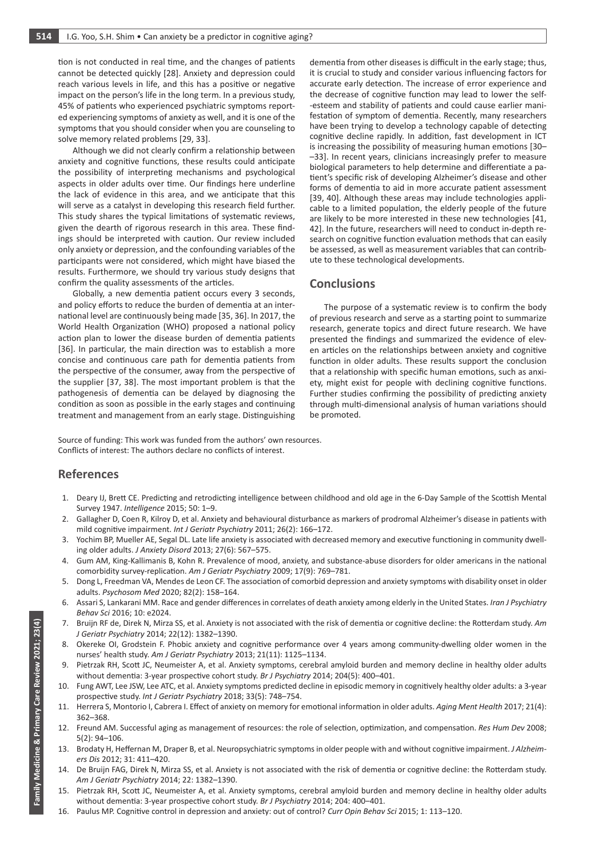tion is not conducted in real time, and the changes of patients cannot be detected quickly [28]. Anxiety and depression could reach various levels in life, and this has a positive or negative impact on the person's life in the long term. In a previous study, 45% of patients who experienced psychiatric symptoms reported experiencing symptoms of anxiety as well, and it is one of the symptoms that you should consider when you are counseling to solve memory related problems [29, 33].

Although we did not clearly confirm a relationship between anxiety and cognitive functions, these results could anticipate the possibility of interpreting mechanisms and psychological aspects in older adults over time. Our findings here underline the lack of evidence in this area, and we anticipate that this will serve as a catalyst in developing this research field further. This study shares the typical limitations of systematic reviews, given the dearth of rigorous research in this area. These findings should be interpreted with caution. Our review included only anxiety or depression, and the confounding variables of the participants were not considered, which might have biased the results. Furthermore, we should try various study designs that confirm the quality assessments of the articles.

Globally, a new dementia patient occurs every 3 seconds, and policy efforts to reduce the burden of dementia at an international level are continuously being made [35, 36]. In 2017, the World Health Organization (WHO) proposed a national policy action plan to lower the disease burden of dementia patients [36]. In particular, the main direction was to establish a more concise and continuous care path for dementia patients from the perspective of the consumer, away from the perspective of the supplier [37, 38]. The most important problem is that the pathogenesis of dementia can be delayed by diagnosing the condition as soon as possible in the early stages and continuing treatment and management from an early stage. Distinguishing

dementia from other diseases is difficult in the early stage; thus, it is crucial to study and consider various influencing factors for accurate early detection. The increase of error experience and the decrease of cognitive function may lead to lower the self- -esteem and stability of patients and could cause earlier manifestation of symptom of dementia. Recently, many researchers have been trying to develop a technology capable of detecting cognitive decline rapidly. In addition, fast development in ICT is increasing the possibility of measuring human emotions [30– –33]. In recent years, clinicians increasingly prefer to measure biological parameters to help determine and differentiate a patient's specific risk of developing Alzheimer's disease and other forms of dementia to aid in more accurate patient assessment [39, 40]. Although these areas may include technologies applicable to a limited population, the elderly people of the future are likely to be more interested in these new technologies [41, 42]. In the future, researchers will need to conduct in-depth research on cognitive function evaluation methods that can easily be assessed, as well as measurement variables that can contribute to these technological developments.

# **Conclusions**

The purpose of a systematic review is to confirm the body of previous research and serve as a starting point to summarize research, generate topics and direct future research. We have presented the findings and summarized the evidence of eleven articles on the relationships between anxiety and cognitive function in older adults. These results support the conclusion that a relationship with specific human emotions, such as anxiety, might exist for people with declining cognitive functions. Further studies confirming the possibility of predicting anxiety through multi-dimensional analysis of human variations should be promoted.

Source of funding: This work was funded from the authors' own resources. Conflicts of interest: The authors declare no conflicts of interest.

## **References**

- 1. Deary IJ, Brett CE. Predicting and retrodicting intelligence between childhood and old age in the 6-Day Sample of the Scottish Mental Survey 1947. *Intelligence* 2015; 50: 1–9.
- 2. Gallagher D, Coen R, Kilroy D, et al. Anxiety and behavioural disturbance as markers of prodromal Alzheimer's disease in patients with mild cognitive impairment. *Int J Geriatr Psychiatry* 2011; 26(2): 166–172.
- 3. Yochim BP, Mueller AE, Segal DL. Late life anxiety is associated with decreased memory and executive functioning in community dwelling older adults. *J Anxiety Disord* 2013; 27(6): 567–575.
- 4. Gum AM, King-Kallimanis B, Kohn R. Prevalence of mood, anxiety, and substance-abuse disorders for older americans in the national comorbidity survey-replication. *Am J Geriatr Psychiatry* 2009; 17(9): 769–781.
- 5. Dong L, Freedman VA, Mendes de Leon CF. The association of comorbid depression and anxiety symptoms with disability onset in older adults. *Psychosom Med* 2020; 82(2): 158–164.
- 6. Assari S, Lankarani MM. Race and gender differences in correlates of death anxiety among elderly in the United States. *Iran J Psychiatry Behav Sci* 2016; 10: e2024.
- 7. Bruijn RF de, Direk N, Mirza SS, et al. Anxiety is not associated with the risk of dementia or cognitive decline: the Rotterdam study. *Am J Geriatr Psychiatry* 2014; 22(12): 1382–1390.
- 8. Okereke OI, Grodstein F. Phobic anxiety and cognitive performance over 4 years among community-dwelling older women in the nurses' health study. *Am J Geriatr Psychiatry* 2013; 21(11): 1125–1134.
- 9. Pietrzak RH, Scott JC, Neumeister A, et al. Anxiety symptoms, cerebral amyloid burden and memory decline in healthy older adults without dementia: 3-year prospective cohort study. *Br J Psychiatry* 2014; 204(5): 400–401.
- 10. Fung AWT, Lee JSW, Lee ATC, et al. Anxiety symptoms predicted decline in episodic memory in cognitively healthy older adults: a 3‐year prospective study. *Int J Geriatr Psychiatry* 2018; 33(5): 748–754.
- 11. Herrera S, Montorio I, Cabrera I. Effect of anxiety on memory for emotional information in older adults. *Aging Ment Health* 2017; 21(4): 362–368.
- 12. Freund AM. Successful aging as management of resources: the role of selection, optimization, and compensation. *Res Hum Dev* 2008; 5(2): 94–106.
- 13. Brodaty H, Heffernan M, Draper B, et al. Neuropsychiatric symptoms in older people with and without cognitive impairment. *J Alzheimers Dis* 2012; 31: 411–420.
- 14. De Bruijn FAG, Direk N, Mirza SS, et al. Anxiety is not associated with the risk of dementia or cognitive decline: the Rotterdam study. *Am J Geriatr Psychiatry* 2014; 22: 1382–1390.
- 15. Pietrzak RH, Scott JC, Neumeister A, et al. Anxiety symptoms, cerebral amyloid burden and memory decline in healthy older adults without dementia: 3‐year prospective cohort study. *Br J Psychiatry* 2014; 204: 400–401.
- 16. Paulus MP. Cognitive control in depression and anxiety: out of control? *Curr Opin Behav Sci* 2015; 1: 113–120.